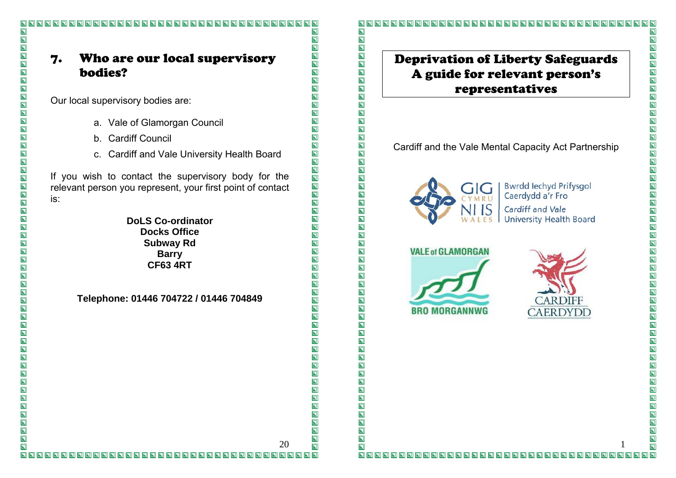# 7. Who are our local supervisory bodies?

Our local supervisory bodies are:

 $\overline{\blacksquare}$ 

 $\overline{\blacksquare}$ 

 $\overline{\mathbf{z}}$ 

 $\overline{\mathbf{z}}$ 

 $\overline{\mathbf{z}}$ 

 $\overline{\mathbf{z}}$ 

I N

 $\overline{\mathbf{N}}$ 

 $\blacksquare$ 

 $\overline{\mathbf{z}}$ 

 $\overline{\mathbf{z}}$  $\overline{\mathbf{z}}$ 

 $\overline{\mathbf{z}}$ 

 $\overline{\mathbf{z}}$ IN

 $\overline{\mathbf{N}}$ 

 $\overline{\mathbf{z}}$ 

 $\overline{\mathbf{z}}$ 

 $\overline{\mathbf{z}}$ 

 $\overline{\mathbf{z}}$ 

 $\overline{\mathbf{p}}$ 

 $\overline{\mathbf{z}}$ 

 $\overline{\mathbf{p}}$ 

 $\overline{\mathbf{N}}$  $\overline{\mathbf{z}}$ 

 $\overline{\mathbf{z}}$ 

 $\overline{\mathbf{z}}$ 

 $\overline{\mathbf{z}}$ 

 $\overline{\mathbf{z}}$ 

 $\overline{\mathbf{N}}$ 

 $\blacksquare$ 

 $\overline{\mathbf{z}}$ 

 $\overline{\mathbf{N}}$ 

 $\blacksquare$ 

 $\overline{\mathbf{z}}$ 

 $\overline{\mathbf{z}}$ 

 $\overline{\mathbf{z}}$ 

 $\overline{\mathbf{z}}$ 

 $\overline{\mathbf{z}}$ 

 $\overline{\mathbf{z}}$  $\overline{\mathbf{z}}$ 

 $\overline{\mathbf{z}}$ 

 $\overline{\mathbf{N}}$ 

 $\overline{\mathbf{z}}$ 

 $\overline{\mathbf{z}}$ 

 $\overline{\blacksquare}$ 

- a. Vale of Glamorgan Council
- b. Cardiff Council
- c. Cardiff and Vale University Health Board

If you wish to contact the supervisory body for the relevant person you represent, your first point of contact is:

> **DoLS Co-ordinator Docks Office Subway Rd Barry CF63 4RT**

**Telephone: 01446 704722 / 01446 704849**

 $\overline{\mathbf{N}}$ 

 $\overline{\mathbf{N}}$ 

 $\overline{\blacksquare}$ 

 $\overline{\mathbf{z}}$ 

 $\overline{\blacksquare}$ 

 $\overline{\mathbf{z}}$ 

 $\overline{\blacksquare}$ 

 $\overline{\blacksquare}$ 

 $\blacksquare$ 

 $\overline{\mathbf{z}}$ 

 $\blacksquare$ 

 $\overline{\mathbf{z}}$ 

 $\overline{\blacksquare}$ 

 $\overline{\blacksquare}$ 

 $\overline{\mathbf{z}}$ 

**NNNN** 

 $\overline{\mathbf{z}}$ 

 $\overline{\blacksquare}$ 

 $\overline{\mathbf{E}}$ 

 $\overline{\blacksquare}$ 

 $\overline{\mathbf{z}}$ 

 $\overline{\mathbf{E}}$ 

 $\blacksquare$ 

 $\overline{\mathbf{z}}$ 

 $\overline{\mathbf{N}}$ 

 $\overline{\mathbf{z}}$ 

 $\overline{\mathbf{z}}$ 

 $\overline{\mathbf{z}}$ 

 $\overline{\blacksquare}$ 

 $\overline{\mathbf{z}}$ 

 $\overline{\blacksquare}$ 

 $\overline{\mathbf{N}}$ 

 $\overline{\mathbf{z}}$ 

 $\overline{\mathbf{z}}$ 

 $\overline{\mathbf{z}}$ 

 $\overline{\mathbf{z}}$ 

 $\overline{\mathbf{z}}$ 

 $\overline{\mathbf{z}}$ 

 $\overline{\mathbf{z}}$ 

 $\overline{\mathbf{z}}$ 

 $\overline{\mathbf{z}}$ 

 $\overline{\blacksquare}$ 

 $\overline{\mathbf{N}}$ 

 $\overline{\mathbf{z}}$ 

 $\overline{\mathbf{z}}$ 

 $\overline{\mathbf{z}}$ 

 $\overline{\mathbf{N}}$ 

 $\blacksquare$ 

 $\overline{\mathbf{z}}$ 

 $\blacksquare$ 

 $\overline{\mathbf{z}}$ 

 $\blacksquare$ 

 $\overline{\mathbf{z}}$ 

 $\bar{\mathbf{z}}$ 

 $\overline{\mathbf{z}}$ 

 $\overline{\mathbf{N}}$ 

 $\blacksquare$ 

 $\overline{\mathbf{N}}$ 

 $\overline{\mathbf{z}}$ 

 $\overline{\mathbf{z}}$ 

 $\overline{\mathbf{p}}$ 

 $\overline{\mathbf{z}}$ 

 $\overline{\mathbf{p}}$  $\overline{\mathbf{N}}$  $\overline{\mathbf{z}}$ 

 $\overline{\mathbf{z}}$ 

 $\overline{\mathbf{z}}$ 

 $\overline{\mathbf{p}}$ 

 $\overline{\mathbf{N}}$ 

 $\overline{\mathbf{p}}$ 

 $\overline{\mathbf{N}}$ 

 $\overline{\mathbf{p}}$ 

 $\overline{\mathbf{N}}$ 

 $\overline{\mathbf{z}}$ 

 $\overline{\mathbf{z}}$ 

 $\overline{\mathbf{z}}$ 

 $\blacksquare$ 

 $\overline{\mathbf{z}}$ 

 $\overline{\mathbf{z}}$ 

 $\overline{\mathbf{z}}$ 

 $\overline{\blacksquare}$ 

 $\blacksquare$  $\overline{\mathbf{z}}$ 

 $\overline{\mathbf{z}}$ 

 $\overline{\mathbf{z}}$ 

 $\overline{\mathbf{N}}$  $\overline{\mathbf{p}}$ 

 $\overline{\mathbf{z}}$ 

 $\overline{\mathbf{z}}$  $\overline{\mathbf{p}}$ 

 $\overline{\mathbf{z}}$ 

 $\overline{\mathbf{z}}$ 

 $\overline{\mathbf{z}}$ 

 $\overline{\mathbf{N}}$ 

 $\overline{\mathbf{z}}$ 

20

# Deprivation of Liberty Safeguards A guide for relevant person's

representatives

Cardiff and the Vale Mental Capacity Act Partnership



**Bwrdd lechyd Prifysgol** Caerdydd a'r Fro Cardiff and Vale **University Health Board** 





#### $\overline{\mathbf{N}}$ 1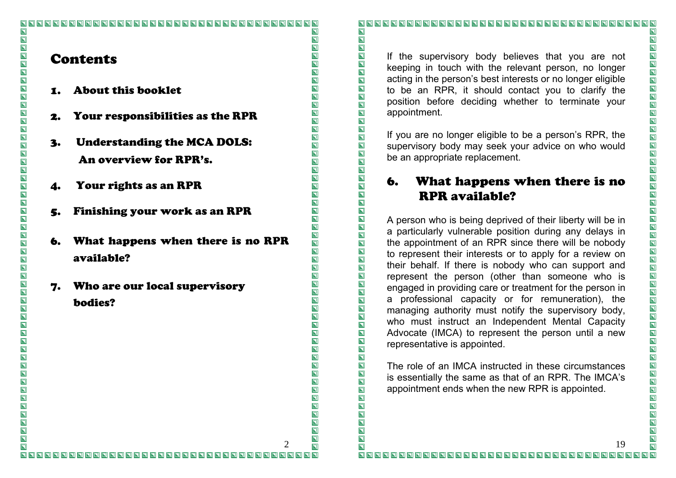#### $\overline{\mathbf{N}}$  $\overline{\mathbf{L}}$  $\overline{\mathbf{N}}$  $\overline{\mathbf{N}}$ **Contents**  $\overline{\mathbf{z}}$  $\overline{\mathbf{z}}$

1.About this booklet

 $\overline{\mathbf{z}}$ 

ND N

 $\overline{\mathbf{z}}$ IN<br>N

 $\overline{\mathbf{z}}$ 

 $\overline{\mathbf{z}}$ 

OOO

 $\overline{\mathbf{z}}$ 

**NN** 

 $\overline{\mathbf{z}}$ 

 $\overline{\mathbf{z}}$ 

 $\overline{\mathbf{z}}$ 

 $\overline{\mathbf{p}}$ 

 $\overline{\mathbf{p}}$ 

 $\overline{\blacksquare}$ 

 $\overline{\mathbf{z}}$ 

 $\overline{\mathbf{z}}$ 

 $\overline{\mathbf{z}}$ 

 $\overline{\mathbf{z}}$ 

 $\overline{\mathbf{N}}$ 

 $\overline{\mathbf{z}}$ 

 $\overline{\mathbf{N}}$ 

 $\blacksquare$ 

 $\overline{\mathbf{z}}$ 

 $\overline{\mathbf{N}}$ 

 $\overline{\mathbf{z}}$ 

 $\blacksquare$ 

 $\overline{\mathbf{z}}$ 

 $\overline{\mathbf{z}}$ 

 $\overline{\mathbf{z}}$ 

 $\overline{\mathbf{z}}$ 

 $\overline{\mathbf{z}}$ 

 $\overline{\mathbf{z}}$  $\overline{\mathbf{z}}$ 

 $\overline{\mathbf{z}}$ 

 $\overline{\mathbf{N}}$ 

 $\overline{\mathbf{z}}$ 

 $\overline{\mathbf{z}}$ 

 $\overline{\mathbf{N}}$ 

- 2. Your responsibilities as the RPR
- 3. Understanding the MCA DOLS: An overview for RPR's.
- 4. Your rights as an RPR
- 5. Finishing your work as an RPR
- 6. What happens when there is no RPR available?

2

 $\overline{\mathbf{N}}$ 

 $\overline{\blacksquare}$ 

 $\overline{\mathbf{z}}$ 

 $\overline{\mathbf{N}}$ 

 $\overline{\mathbf{z}}$ 

 $\overline{\blacksquare}$ 

 $\overline{\mathbf{z}}$ 

 $\overline{\mathbf{z}}$ 

 $\overline{\blacksquare}$ 

 $\overline{\mathbf{N}}$ 

 $\overline{\mathbf{N}}$ 

 $\blacksquare$ 

 $\overline{\mathbf{z}}$ 

 $\overline{\mathbf{z}}$ 

 $\overline{\blacksquare}$ 

 $\overline{\mathbf{z}}$ 

 $\overline{\mathbf{z}}$ 

 $\overline{\mathbf{z}}$ 

 $\overline{\mathbf{z}}$ 

 $\overline{\mathbf{z}}$ 

 $\overline{\mathbf{z}}$ 

 $\overline{\mathbf{z}}$ 

 $\overline{\blacksquare}$ 

 $\overline{\blacksquare}$ 

 $\overline{\blacksquare}$ 

 $\overline{\mathbf{z}}$ 

NNDD

 $\overline{\mathbf{z}}$ 

 $\overline{\mathbf{z}}$ 

 $\overline{\mathbf{z}}$ 

 $\overline{\mathbf{N}}$ 

 $\overline{\mathbf{z}}$ 

 $\overline{\mathbf{z}}$ 

 $\overline{\mathbf{z}}$ 

 $\overline{\mathbf{N}}$ 

 $\overline{\mathbf{z}}$ 

 $\overline{\mathbf{z}}$ 

 $\overline{\mathbf{z}}$ 

 $\overline{\mathbf{z}}$ 

 $\overline{\mathbf{z}}$ 

 $\overline{\mathbf{z}}$ 

 $\overline{\mathbf{z}}$ 

 $\overline{\mathbf{z}}$ 

 $\overline{\mathbf{z}}$ 

 $\overline{\blacksquare}$ 

 $\overline{\mathbf{N}}$ 

 $\overline{\mathbf{z}}$ 

 $\overline{\mathbf{N}}$ 

 $\overline{\mathbf{z}}$ 

 $\blacksquare$ 

 $\blacksquare$ 

 $\overline{\mathbf{z}}$ 

 $\overline{\mathbf{z}}$ 

 $\overline{\mathbf{z}}$ 

 $\blacksquare$ 

 $\overline{\mathbf{z}}$ 

 $\overline{\mathbf{N}}$ 

 $\overline{\mathbf{z}}$ 

 $\overline{\mathbf{z}}$ 

 $\overline{\mathbf{z}}$ 

 $\overline{\mathbf{N}}$ 

 $\blacksquare$ 

 $\overline{\mathbf{z}}$ 

 $\overline{\mathbf{z}}$  $\overline{\mathbf{p}}$ 

 $\overline{\blacksquare}$ 

 $\overline{\mathbf{z}}$ 

 $\blacksquare$ 

 $\overline{\mathbf{z}}$ 

 $\blacksquare$ 

 $\overline{\mathbf{N}}$ 

 $\overline{\mathbf{z}}$ 

 $\overline{\mathbf{z}}$ 

 $\overline{\mathbf{N}}$ 

 $\overline{\mathbf{z}}$ 

 $\overline{\mathbf{z}}$ 

 $\overline{\mathbf{z}}$ 

 $\overline{\mathbf{z}}$ 

 $\overline{\mathbf{z}}$ 

 $\blacksquare$ 

 $\overline{\mathbf{z}}$ 

 $\overline{\blacksquare}$ 

 $\overline{\mathbf{z}}$ 

 $\overline{\mathbf{z}}$  $\overline{\mathbf{z}}$ 

 $\overline{\mathbf{z}}$ 

 $\blacksquare$ 

 $\overline{\mathbf{z}}$ 

 $\overline{\mathbf{z}}$  $\overline{\mathbf{p}}$ 

 $\overline{\mathbf{p}}$ 

 $\overline{\mathbf{z}}$ 

 $\overline{\mathbf{z}}$ 

 $\overline{\mathbf{z}}$ 

 $\overline{\mathbf{N}}$ 

 $\overline{\mathbf{z}}$ 

 $\overline{\mathbf{N}}$ 

 $\overline{\mathbf{p}}$ 

7. Who are our local supervisory bodies?

 $\overline{\mathbf{N}}$ 

> If the supervisory body believes that you are not keeping in touch with the relevant person, no longer acting in the person's best interests or no longer eligible to be an RPR, it should contact you to clarify the position before deciding whether to terminate your appointment.

If you are no longer eligible to be a person's RPR, the supervisory body may seek your advice on who would be an appropriate replacement.

#### 6. What happens when there is no RPR available?

A person who is being deprived of their liberty will be in a particularly vulnerable position during any delays in the appointment of an RPR since there will be nobody to represent their interests or to apply for a review on their behalf. If there is nobody who can support and represent the person (other than someone who is engaged in providing care or treatment for the person in a professional capacity or for remuneration), the managing authority must notify the supervisory body, who must instruct an Independent Mental Capacity Advocate (IMCA) to represent the person until a new representative is appointed.

The role of an IMCA instructed in these circumstances is essentially the same as that of an RPR. The IMCA's appointment ends when the new RPR is appointed.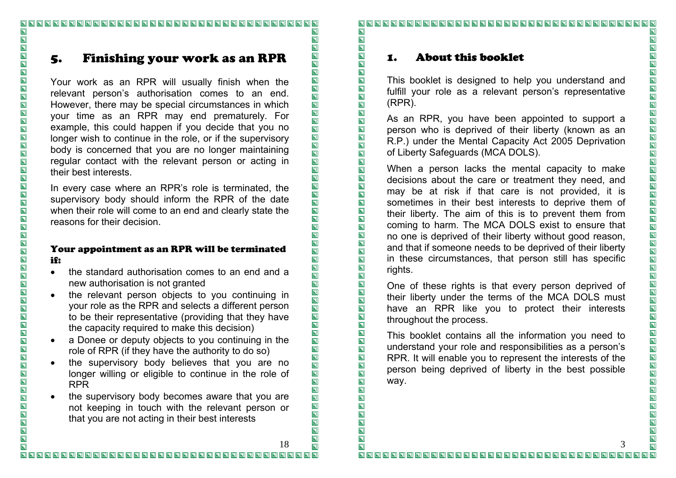# 5. Finishing your work as an RPR

Your work as an RPR will usually finish when the relevant person's authorisation comes to an end. However, there may be special circumstances in which your time as an RPR may end prematurely. For example, this could happen if you decide that you no longer wish to continue in the role, or if the supervisory body is concerned that you are no longer maintaining regular contact with the relevant person or acting in their best interests.

In every case where an RPR's role is terminated, the supervisory body should inform the RPR of the date when their role will come to an end and clearly state the reasons for their decision.

#### Your appointment as an RPR will be terminated if:

- the standard authorisation comes to an end and a new authorisation is not granted
- the relevant person objects to you continuing in your role as the RPR and selects a different person to be their representative (providing that they have the capacity required to make this decision)
- a Donee or deputy objects to you continuing in the role of RPR (if they have the authority to do so)
- the supervisory body believes that you are no longer willing or eligible to continue in the role of RPR
- the supervisory body becomes aware that you are not keeping in touch with the relevant person or that you are not acting in their best interests

#### 

#### 1.About this booklet

This booklet is designed to help you understand and fulfill your role as a relevant person's representative (RPR).

As an RPR, you have been appointed to support a person who is deprived of their liberty (known as an R.P.) under the Mental Capacity Act 2005 Deprivation of Liberty Safeguards (MCA DOLS).

When a person lacks the mental capacity to make decisions about the care or treatment they need, and may be at risk if that care is not provided, it is sometimes in their best interests to deprive them of their liberty. The aim of this is to prevent them from coming to harm. The MCA DOLS exist to ensure that no one is deprived of their liberty without good reason, and that if someone needs to be deprived of their liberty in these circumstances, that person still has specific rights.

One of these rights is that every person deprived of their liberty under the terms of the MCA DOLS must have an RPR like you to protect their interests throughout the process.

This booklet contains all the information you need to understand your role and responsibilities as a person's RPR. It will enable you to represent the interests of the person being deprived of liberty in the best possible way.

 $\overline{\mathbf{z}}$ 18 $\overline{\mathbf{z}}$ 

 $\overline{\mathbf{N}}$ 

 $\overline{\blacksquare}$ 

 $\overline{\mathbf{N}}$ 

 $\overline{\mathbf{N}}$ 

 $\blacksquare$ 

 $\overline{\mathbf{z}}$ 

 $\blacksquare$ 

 $\overline{\mathbf{E}}$ 

 $\overline{\blacksquare}$ 

 $\overline{\blacksquare}$ 

 $\overline{\mathbf{z}}$ 

 $\overline{\mathbf{z}}$ 

 $\overline{\blacksquare}$ 

 $\overline{\blacksquare}$ 

 $\overline{\blacksquare}$ 

 $\overline{\blacksquare}$ 

 $\overline{\mathbf{z}}$ 

 $\overline{\mathbf{p}}$ 

IN

 $\overline{\blacksquare}$ 

 $\overline{\mathbf{z}}$ 

 $\overline{\blacksquare}$ 

 $\overline{\blacksquare}$ 

 $\overline{\blacksquare}$ 

 $\overline{\mathbf{z}}$ 

NNDD

 $\overline{\mathbf{N}}$ 

 $\overline{\mathbf{z}}$ 

 $\overline{\mathbf{N}}$ 

 $\overline{\blacksquare}$ 

 $\overline{\blacksquare}$ 

OO

 $\overline{\mathbf{z}}$ 

 $\overline{\mathbf{z}}$ 

 $\overline{\mathbf{z}}$ 

 $\overline{\blacksquare}$ 

 $\overline{\mathbf{z}}$ 

 $\overline{\mathbf{z}}$ 

 $\overline{\blacksquare}$ 

 $\overline{\mathbf{z}}$ 

 $\overline{\blacksquare}$ 

 $\overline{\mathbf{z}}$ 

 $\overline{\mathbf{z}}$ 

 $\overline{\mathbf{N}}$ 

 $\blacksquare$ 

 $\overline{\mathbf{u}}$ 

 $\overline{\mathbf{z}}$ 

 $\overline{\mathbf{z}}$ 

 $\overline{\mathbf{z}}$ 

 $\overline{\mathbf{z}}$ 

 $\overline{\mathbf{z}}$ 

 $\overline{\mathbf{z}}$ 

 $\overline{\mathbf{z}}$ 

 $\blacksquare$ 

 $\blacksquare$ 

 $\overline{\mathbf{z}}$ 

 $\overline{\mathbf{z}}$ 

 $\overline{\mathbf{z}}$ 

 $\blacksquare$ 

 $\overline{\mathbf{z}}$ 

 $\overline{\blacksquare}$ 

 $\overline{\mathbf{z}}$ 

 $\overline{\mathbf{z}}$ 

 $\overline{\mathbf{D}}$ 

 $\overline{\mathbf{z}}$ 

 $\blacksquare$ 

 $\overline{\mathbf{N}}$ 

 $\overline{\blacksquare}$ 

 $\overline{\mathbf{z}}$ 

 $\overline{\mathbf{b}}$  $\blacksquare$  $\overline{\mathbf{z}}$ 

 $\blacksquare$  $\blacksquare$ 

 $\blacksquare$ 

 $\overline{\mathbf{z}}$ 

 $\blacksquare$ 

 $\overline{\mathbf{z}}$  $\overline{\mathbf{p}}$ 

 $\overline{\mathbf{z}}$  $\overline{\mathbf{z}}$ 

 $\overline{\mathbf{z}}$ 

 $\overline{\mathbf{z}}$ 

 $\overline{\mathbf{z}}$ 

 $\overline{\mathbf{z}}$ 

 $\overline{\mathbf{z}}$ 

 $\overline{\mathbf{z}}$ 

 $\overline{\mathbf{z}}$ 

 $\overline{\mathbf{z}}$ 

 $\overline{\mathbf{z}}$ 

 $\overline{\mathbf{z}}$ 

 $\overline{\mathbf{N}}$ 

 $\overline{\mathbf{z}}$ 

 $\overline{\mathbf{N}}$ 

 $\overline{\mathbf{p}}$ 

 $\overline{\mathbf{z}}$ 

 $\overline{\mathbf{z}}$ 

 $\blacksquare$ 

 $\overline{\mathbf{z}}$ 

 $\blacksquare$  $\overline{\mathbf{p}}$ 

 $\overline{\blacksquare}$ 

**NNNNNNN** 

NNNNNNN

 $\overline{\blacksquare}$ 

 $\blacksquare$ 

3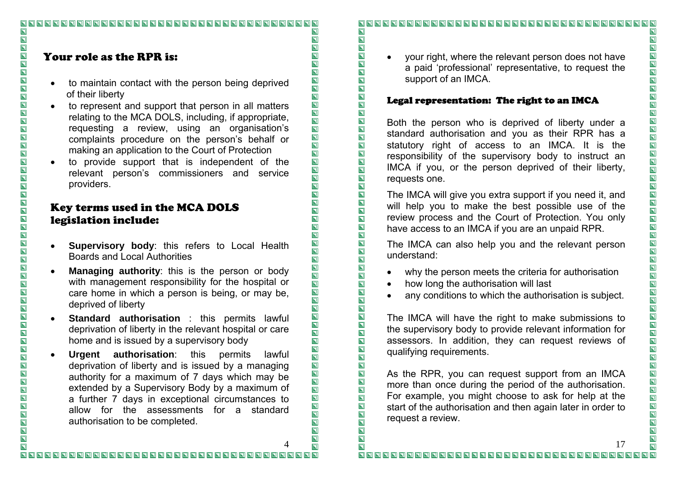#### 

# Your role as the RPR is:

 $\overline{\mathbf{N}}$ 

 $\overline{\mathbf{L}}$ 

 $\overline{\blacksquare}$ 

 $\overline{\mathbf{z}}$ 

 $\overline{\mathbf{u}}$ 

NNNNN

 $\overline{\mathbf{z}}$ 

 $\overline{\mathbf{z}}$ 

 $\overline{\mathbf{z}}$ 

OOO

 $\overline{\mathbf{z}}$ 

 $\overline{\mathbf{z}}$ 

 $\overline{\mathbf{z}}$ 

 $\overline{\blacksquare}$ 

 $\overline{\mathbf{N}}$ 

**NNDD** 

 $\overline{\mathbf{N}}$ 

 $\overline{\mathbf{z}}$ 

 $\overline{\mathbf{z}}$ 

OOO

IND

 $\overline{\mathbf{z}}$ 

 $\overline{\mathbf{L}}$ 

 $\overline{\mathbf{z}}$ 

 $\overline{\mathbf{p}}$ 

 $\overline{\mathbf{z}}$ 

IN<br>DD

 $\overline{\mathbf{z}}$ 

 $\overline{\mathbf{z}}$  $\overline{\mathbf{u}}$ 

 $\overline{\mathbf{z}}$ 

 $\overline{\mathbf{z}}$ 

 $\overline{\mathbf{N}}$  $\overline{\mathbf{z}}$ 

- to maintain contact with the person being deprived of their liberty
- to represent and support that person in all matters relating to the MCA DOLS, including, if appropriate, requesting a review, using an organisation's complaints procedure on the person's behalf or making an application to the Court of Protection
- to provide support that is independent of the relevant person's commissioners and service providers.

## Key terms used in the MCA DOLS legislation include:

- • **Supervisory body**: this refers to Local Health Boards and Local Authorities
- • **Managing authority**: this is the person or body with management responsibility for the hospital or care home in which a person is being, or may be, deprived of liberty
- • **Standard authorisation** : this permits lawful deprivation of liberty in the relevant hospital or care home and is issued by a supervisory body
- • **Urgent authorisation**: this permits lawful deprivation of liberty and is issued by a managing authority for a maximum of 7 days which may be extended by a Supervisory Body by a maximum of a further 7 days in exceptional circumstances to allow for the assessments for a standard authorisation to be completed.

#### $\overline{\mathbf{N}}$

• your right, where the relevant person does not have a paid 'professional' representative, to request the support of an IMCA.

#### Legal representation: The right to an IMCA

Both the person who is deprived of liberty under a standard authorisation and you as their RPR has a statutory right of access to an IMCA. It is the responsibility of the supervisory body to instruct an IMCA if you, or the person deprived of their liberty, requests one.

The IMCA will give you extra support if you need it, and will help you to make the best possible use of the review process and the Court of Protection. You only have access to an IMCA if you are an unpaid RPR.

The IMCA can also help you and the relevant person understand:

- why the person meets the criteria for authorisation
- how long the authorisation will last
- any conditions to which the authorisation is subject.

The IMCA will have the right to make submissions to the supervisory body to provide relevant information for assessors. In addition, they can request reviews of qualifying requirements.

As the RPR, you can request support from an IMCA more than once during the period of the authorisation. For example, you might choose to ask for help at the start of the authorisation and then again later in order to request a review.

4

 $\overline{\mathbf{N}}$ 

 $\overline{\mathbf{z}}$ 

 $\overline{\mathbf{z}}$ 

 $\overline{\mathbf{z}}$ 

 $\overline{\mathbf{z}}$ 

 $\overline{\blacksquare}$ 

 $\overline{\mathbf{z}}$ 

 $\overline{\mathbf{E}}$ 

 $\overline{\mathbf{N}}$ 

**NNDD** 

 $\overline{\blacksquare}$ 

 $\overline{\blacksquare}$ 

 $\overline{\blacksquare}$ 

 $\overline{\mathbf{z}}$  $\overline{\mathbf{N}}$ 

 $\overline{\blacksquare}$ 

 $\overline{\mathbf{z}}$ 

 $\overline{\mathbf{z}}$ 

 $\overline{\blacksquare}$ 

 $\overline{\blacksquare}$ 

 $\overline{\blacksquare}$ 

 $\overline{\mathbf{z}}$ 

ODD OD

 $\overline{\mathbf{N}}$ 

 $\overline{\mathbf{z}}$ 

 $\overline{\mathbf{z}}$ 

 $\overline{\blacksquare}$ 

 $\overline{\blacksquare}$ 

OO

 $\overline{\mathbf{N}}$ 

 $\overline{\blacksquare}$ 

 $\overline{\mathbf{N}}$ 

 $\overline{\mathbf{z}}$ 

 $\overline{\mathbf{z}}$ 

 $\overline{\mathbf{N}}$ 

 $\overline{\mathbf{N}}$ 

 $\overline{\mathbf{z}}$ 

 $\overline{\blacksquare}$ 

 $\overline{\mathbf{N}}$ 

 $\blacksquare$ 

 $\overline{\mathbf{u}}$ 

 $\overline{\mathbf{z}}$ 

 $\overline{\mathbf{z}}$ 

 $\overline{\mathbf{z}}$ 

 $\overline{\mathbf{z}}$ 

 $\blacksquare$ 

 $\overline{\mathbf{N}}$ 

 $\blacksquare$ 

 $\blacksquare$ 

 $\overline{\mathbf{N}}$ 

 $\overline{\mathbf{z}}$ 

 $\overline{\mathbf{z}}$ 

 $\overline{\mathbf{z}}$  $\overline{\mathbf{p}}$ 

 $\overline{\mathbf{a}}$ 

 $\overline{\blacksquare}$ 

 $\blacksquare$ 

 $\blacksquare$ 

 $\overline{\mathbf{z}}$ 

 $\overline{\blacksquare}$ 

 $\overline{\mathbf{N}}$ 

 $\overline{\blacksquare}$ 

 $\blacksquare$ 

INND

 $\blacksquare$  $\blacksquare$ 

 $\overline{\mathbf{N}}$ 

 $\overline{\mathbf{z}}$ 

 $\overline{\mathbf{z}}$ 

 $\overline{\mathbf{z}}$  $\overline{\mathbf{p}}$ 

 $\blacksquare$ 

 $\overline{\mathbf{z}}$ 

 $\overline{\mathbf{z}}$ 

 $\blacksquare$ 

 $\blacksquare$ 

 $\blacksquare$ 

 $\overline{\mathbf{z}}$ 

 $\overline{\mathbf{p}}$ 

 $\overline{\mathbf{z}}$ 

 $\overline{\mathbf{z}}$ 

 $\overline{\mathbf{N}}$ 

 $\overline{\mathbf{z}}$ 

 $\blacksquare$ 

 $\overline{\mathbf{N}}$ 

 $\overline{\mathbf{p}}$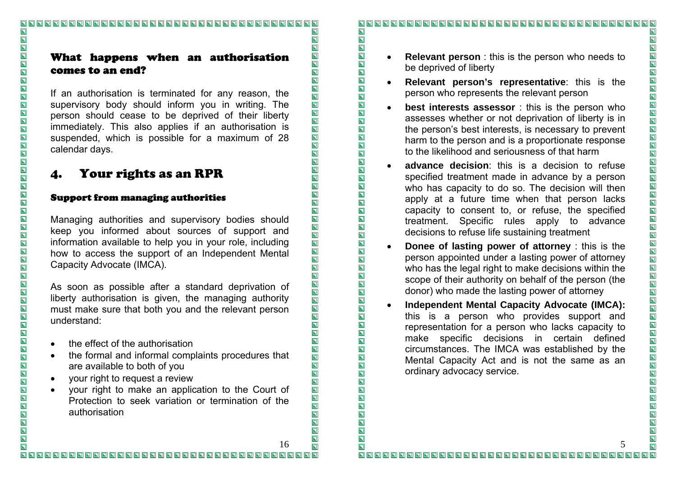## What happens when an authorisation comes to an end?

If an authorisation is terminated for any reason, the supervisory body should inform you in writing. The person should cease to be deprived of their liberty immediately. This also applies if an authorisation is suspended, which is possible for a maximum of 28 calendar days.

# 4. Your rights as an RPR

#### Support from managing authorities

Managing authorities and supervisory bodies should keep you informed about sources of support and information available to help you in your role, including how to access the support of an Independent Mental Capacity Advocate (IMCA).

As soon as possible after a standard deprivation of liberty authorisation is given, the managing authority must make sure that both you and the relevant person understand:

- the effect of the authorisation
- the formal and informal complaints procedures that are available to both of you
- your right to request a review
- your right to make an application to the Court of Protection to seek variation or termination of the authorisation

- • **Relevant person** : this is the person who needs to be deprived of liberty
	- • **Relevant person's representative**: this is the person who represents the relevant person
- • **best interests assessor** : this is the person who assesses whether or not deprivation of liberty is in the person's best interests, is necessary to prevent harm to the person and is a proportionate response to the likelihood and seriousness of that harm
- • **advance decision**: this is a decision to refuse specified treatment made in advance by a person who has capacity to do so. The decision will then apply at a future time when that person lacks capacity to consent to, or refuse, the specified treatment. Specific rules apply to advance decisions to refuse life sustaining treatment
- • **Donee of lasting power of attorney** : this is the person appointed under a lasting power of attorney who has the legal right to make decisions within the scope of their authority on behalf of the person (the donor) who made the lasting power of attorney
- • **Independent Mental Capacity Advocate (IMCA):** this is a person who provides support and representation for a person who lacks capacity to make specific decisions in certain defined circumstances. The IMCA was established by the Mental Capacity Act and is not the same as an ordinary advocacy service.

 $\overline{\mathbf{z}}$ 16 $\overline{\mathbf{z}}$ 

 $\overline{\mathbf{N}}$ 

 $\overline{\blacksquare}$ 

 $\overline{\mathbf{N}}$ 

 $\overline{\mathbf{z}}$ 

 $\overline{\mathbf{z}}$ 

 $\overline{\blacksquare}$ 

 $\overline{\mathbf{z}}$ 

 $\overline{\mathbf{z}}$ 

 $\overline{\blacksquare}$ 

 $\overline{\blacksquare}$ 

 $\overline{\mathbf{z}}$ 

 $\overline{\mathbf{z}}$ 

 $\overline{\blacksquare}$ 

 $\overline{\blacksquare}$ 

 $\overline{\blacksquare}$ 

 $\overline{\blacksquare}$ 

 $\overline{\mathbf{z}}$ 

 $\overline{\blacksquare}$ 

 $\overline{\blacksquare}$ 

 $\overline{\mathbf{z}}$ 

 $\overline{\mathbf{z}}$ 

 $\overline{\mathbf{z}}$ 

 $\overline{\blacksquare}$ 

 $\overline{\blacksquare}$ 

 $\overline{\blacksquare}$ 

 $\overline{\blacksquare}$ 

**NND** 

 $\overline{\mathbf{N}}$ 

 $\overline{\mathbf{z}}$ 

 $\overline{\mathbf{z}}$ 

 $\overline{\mathbf{z}}$ 

 $\overline{\blacksquare}$ 

 $\overline{\blacksquare}$ 

 $\overline{\mathbf{z}}$ 

 $\boxed{\textbf{N}}$ 

 $\overline{\mathbf{z}}$ 

 $\overline{\mathbf{z}}$ 

 $\overline{\mathbf{z}}$ 

 $\overline{\blacksquare}$ 

 $\overline{\mathbf{z}}$ 

 $\overline{\mathbf{z}}$ 

 $\overline{\mathbf{z}}$ 

 $\overline{\mathbf{z}}$ 

 $\overline{\blacksquare}$ 

 $\overline{\blacksquare}$ 

 $\overline{\mathbf{z}}$ 

 $\overline{\mathbf{z}}$ 

 $\overline{\mathbf{N}}$ 

 $\blacksquare$ 

 $\blacksquare$ 

 $\overline{\mathbf{z}}$ 

 $\blacksquare$ 

 $\overline{\blacksquare}$ 

 $\overline{\mathbf{z}}$ 

 $\blacksquare$ 

 $\overline{\mathbf{z}}$ 

 $\overline{\mathbf{z}}$ 

 $\overline{\mathbf{N}}$ 

 $\blacksquare$ 

 $\overline{\mathbf{z}}$ 

 $\blacksquare$ 

 $\overline{\mathbf{z}}$ 

 $\overline{\blacksquare}$ 

 $\overline{\mathbf{z}}$ 

 $\overline{\blacksquare}$ 

 $\blacksquare$ 

 $\overline{\mathbf{D}}$ 

 $\overline{\mathbf{D}}$ 

 $\overline{\mathbf{z}}$ 

 $\blacksquare$ 

 $\overline{\mathbf{N}}$ 

 $\overline{\blacksquare}$ 

 $\overline{\mathbf{p}}$  $\overline{\mathbf{N}}$ 

 $\blacksquare$ 

 $\blacksquare$ 

 $\overline{\mathbf{z}}$ 

 $\blacksquare$ 

 $\overline{\blacksquare}$ 

 $\overline{\blacksquare}$ 

 $\overline{\mathbf{z}}$ 

 $\overline{\mathbf{u}}$ 

 $\overline{\mathbf{L}}$ 

 $\overline{\mathbf{z}}$ 

 $\blacksquare$ 

 $\overline{\mathbf{p}}$ 

 $\blacksquare$ 

 $\overline{\mathbf{z}}$ 

 $\overline{\mathbf{N}}$ 

 $\overline{\mathbf{z}}$ 

 $\overline{\mathbf{z}}$ 

 $\overline{\mathbf{z}}$ 

 $\overline{\mathbf{N}}$ 

 $\overline{\mathbf{z}}$ 

 $\overline{\mathbf{N}}$ 

 $\overline{\mathbf{z}}$ 

 $\blacksquare$ 

 $\overline{\mathbf{N}}$ 

 $\blacksquare$ 

 $\blacksquare$ 

 $\overline{\mathbf{p}}$  $\overline{\mathbf{N}}$ 

 $\overline{\mathbf{N}}$ 

 $\overline{\blacksquare}$ 

**NNNNNNN** 

 $\overline{\mathbf{N}}$ 

**NNDD** 

 $\blacksquare$ 

 $\overline{\mathbf{N}}$ 

 $\blacksquare$  $\overline{\mathbf{N}}$ 

5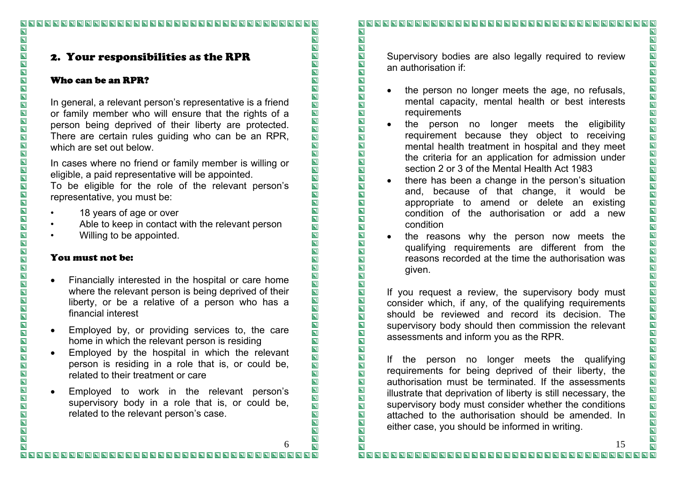## 2. Your responsibilities as the RPR

### Who can be an RPR?

 $\overline{\mathbf{N}}$ 

 $\overline{\mathbf{z}}$ 

 $\overline{\mathbf{N}}$ 

 $\overline{\mathbf{z}}$ 

 $\overline{\mathbf{z}}$ 

 $\overline{\mathbf{u}}$ 

 $\overline{\mathbf{z}}$ 

 $\overline{\mathbf{z}}$ 

NNN

 $\blacksquare$  $\overline{\mathbf{z}}$ 

 $\overline{\mathbf{z}}$ 

 $\overline{\blacksquare}$ 

OOO

 $\overline{\mathbf{z}}$ 

 $\overline{\blacksquare}$ 

 $\overline{\mathbf{z}}$ 

 $\overline{\mathbf{p}}$ 

 $\overline{\mathbf{p}}$ 

 $\overline{\mathbf{z}}$ 

 $\overline{\mathbf{p}}$ 

 $\overline{\mathbf{p}}$ 

 $\overline{\blacksquare}$ 

 $\overline{\mathbf{z}}$ 

 $\overline{\mathbf{z}}$ 

 $\overline{\mathbf{N}}$ 

 $\overline{\mathbf{z}}$ 

**NNDD** 

 $\boxed{\blacksquare}$ 

 $\overline{\mathbf{z}}$ 

 $\overline{\mathbf{L}}$ 

 $\overline{\mathbf{z}}$ 

 $\overline{\mathbf{p}}$ 

 $\overline{\mathbf{z}}$ 

 $\overline{\blacksquare}$ 

 $\overline{\blacksquare}$ 

 $\overline{\mathbf{z}}$ 

 $\overline{\mathbf{z}}$ 

 $\overline{\mathbf{u}}$ 

 $\overline{\mathbf{z}}$ 

 $\overline{\mathbf{z}}$ 

 $\overline{\mathbf{N}}$ 

 $\overline{\mathbf{z}}$ 

In general, a relevant person's representative is a friend or family member who will ensure that the rights of a person being deprived of their liberty are protected. There are certain rules guiding who can be an RPR, which are set out below.

In cases where no friend or family member is willing or eligible, a paid representative will be appointed.

To be eligible for the role of the relevant person's representative, you must be:

- 18 years of age or over
- Able to keep in contact with the relevant person
- Willing to be appointed.

### You must not be:

- Financially interested in the hospital or care home where the relevant person is being deprived of their liberty, or be a relative of a person who has a financial interest
- Employed by, or providing services to, the care home in which the relevant person is residing
- Employed by the hospital in which the relevant person is residing in a role that is, or could be, related to their treatment or care
- Employed to work in the relevant person's supervisory body in a role that is, or could be, related to the relevant person's case.

 $\overline{\mathbf{N}}$ 

Supervisory bodies are also legally required to review an authorisation if:

- the person no longer meets the age, no refusals, mental capacity, mental health or best interests requirements
- the person no longer meets the eligibility requirement because they object to receiving mental health treatment in hospital and they meet the criteria for an application for admission under section 2 or 3 of the Mental Health Act 1983
- there has been a change in the person's situation and, because of that change, it would be appropriate to amend or delete an existing condition of the authorisation or add a new condition
- the reasons why the person now meets the qualifying requirements are different from the reasons recorded at the time the authorisation was given.

If you request a review, the supervisory body must consider which, if any, of the qualifying requirements should be reviewed and record its decision. The supervisory body should then commission the relevant assessments and inform you as the RPR.

If the person no longer meets the qualifying requirements for being deprived of their liberty, the authorisation must be terminated. If the assessments illustrate that deprivation of liberty is still necessary, the supervisory body must consider whether the conditions attached to the authorisation should be amended. In either case, you should be informed in writing.

 $\overline{\mathbf{N}}$  $\overline{\mathbf{z}}$ 

6

 $\overline{\mathbf{N}}$ 

 $\overline{\blacksquare}$ 

 $\overline{\mathbf{z}}$ 

 $\overline{\mathbf{N}}$ 

 $\overline{\mathbf{z}}$ 

 $\overline{\mathbf{z}}$ 

 $\overline{\mathbf{z}}$ 

 $\overline{\mathbf{z}}$  $\overline{\blacksquare}$ 

 $\overline{\mathbf{E}}$ 

 $\overline{\blacksquare}$ 

 $\blacksquare$ 

 $\overline{\blacksquare}$ 

 $\overline{\blacksquare}$ 

 $\overline{\blacksquare}$ 

 $\overline{\blacksquare}$ 

 $\overline{\mathbf{E}}$ 

 $\overline{\blacksquare}$ 

 $\overline{\mathbf{Z}}$ 

 $\overline{\mathbf{z}}$ 

 $\overline{\mathbf{z}}$ 

 $\overline{\blacksquare}$ 

 $\overline{\blacksquare}$ 

 $\overline{\blacksquare}$ 

 $\overline{\mathbf{z}}$ 

 $\overline{\mathbf{E}}$ 

 $\overline{\mathbf{N}}$ 

 $\overline{\mathbf{z}}$ 

 $\overline{\mathbf{z}}$ 

 $\blacksquare$ 

 $\overline{\mathbf{z}}$ 

 $\overline{\mathbf{N}}$ 

 $\overline{\blacksquare}$ 

 $\overline{\mathbf{z}}$ 

 $\overline{\mathbf{z}}$ 

 $\overline{\mathbf{z}}$ 

 $\blacksquare$ 

 $\overline{\blacksquare}$ 

 $\blacksquare$ 

 $\overline{\mathbf{z}}$ 

 $\overline{\blacksquare}$ 

 $\overline{\blacksquare}$ 

 $\overline{\blacksquare}$ 

 $\overline{\mathbf{z}}$ 

 $\overline{\mathbf{z}}$ 

 $\overline{\mathbf{D}}$ 

 $\overline{\mathbf{u}}$ 

 $\overline{\mathbf{z}}$ 

 $\overline{\mathbf{N}}$ 

 $\overline{\mathbf{z}}$ 

 $\blacksquare$ 

 $\overline{\blacksquare}$ 

 $\overline{\mathbf{z}}$ 

 $\blacksquare$ 

 $\blacksquare$ 

 $\overline{\mathbf{L}}$ 

 $\overline{\blacksquare}$ 

 $\overline{\mathbf{z}}$ 

 $\overline{\blacksquare}$ 

 $\overline{\blacksquare}$ 

 $\overline{\mathbf{a}}$ 

 $\overline{\blacksquare}$ 

 $\overline{\mathbf{z}}$ 

 $\overline{\mathbf{D}}$ 

 $\overline{\mathbf{D}}$ 

 $\overline{\mathbf{D}}$ 

 $\blacksquare$ 

 $\overline{\mathbf{p}}$ 

 $\overline{\blacksquare}$ 

 $\blacksquare$ 

 $\overline{\mathbf{b}}$ 

 $\blacksquare$  $\blacksquare$ 

 $\blacksquare$ 

 $\blacksquare$ 

 $\blacksquare$ 

 $\overline{\mathbf{z}}$ 

 $\blacksquare$  $\overline{\mathbf{p}}$ 

 $\overline{\blacksquare}$ 

 $\overline{\mathbf{z}}$  $\overline{\mathbf{z}}$ 

 $\overline{\mathbf{z}}$ 

 $\overline{\mathbf{D}}$ 

 $\blacksquare$ 

 $\overline{\mathbf{p}}$ 

 $\blacksquare$ 

 $\overline{\mathbf{D}}$ 

 $\overline{\mathbf{z}}$ 

 $\blacksquare$ 

 $\blacksquare$ 

 $\blacksquare$ 

 $\blacksquare$ 

 $\blacksquare$ 

 $\blacksquare$ 

 $\overline{\mathbf{z}}$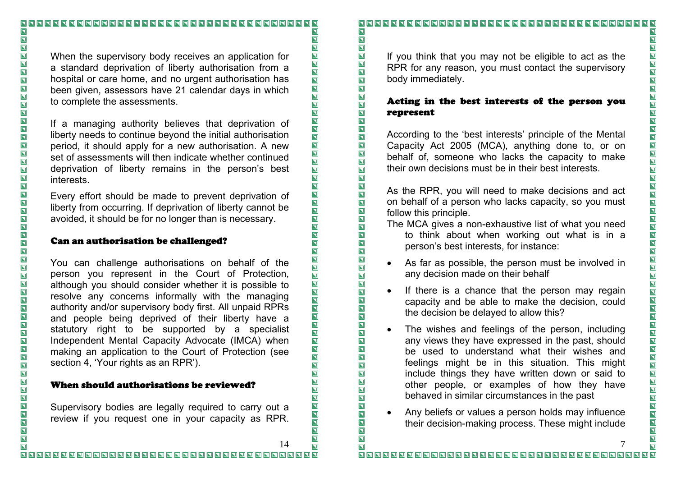# $\overline{\mathbf{N}}$  $\blacksquare$  $\Box$  $\overline{\mathbf{z}}$  $\overline{\blacksquare}$  $\overline{\mathbf{z}}$  $\overline{\mathbf{E}}$ I N  $\overline{\mathbf{z}}$  $\overline{\mathbf{N}}$  $\overline{\mathbf{z}}$ NNNNNN  $\overline{\blacksquare}$  $\overline{\blacksquare}$ IND OOO  $\overline{\blacksquare}$  $\overline{\mathbf{N}}$  $\overline{\blacksquare}$ IN<br>N IND IN  $\overline{\blacksquare}$ OOO  $\overline{\blacksquare}$

 $\overline{\mathbf{N}}$ 

 $\overline{\mathbf{z}}$ 

 $\overline{\mathbf{z}}$ 

 $\overline{\mathbf{z}}$ 

 $\overline{\mathbf{N}}$ 

 $\overline{\mathbf{z}}$ 

 $\overline{\mathbf{z}}$ 

 $\overline{\mathbf{z}}$ 

 $\overline{\mathbf{N}}$ 

 $\blacksquare$ 

 $\overline{\mathbf{z}}$ 

 $\overline{\blacksquare}$ 

 $\overline{\mathbf{z}}$ 

 $\overline{\mathbf{z}}$ 

 $\overline{\mathbf{N}}$ 

 $\overline{\blacksquare}$ 

 $\overline{\blacksquare}$ 

 $\overline{\blacksquare}$ 

 $\overline{\mathbf{E}}$ 

 $\overline{\blacksquare}$ 

 $\overline{\mathbf{p}}$ 

 $\overline{\mathbf{E}}$ 

 $\overline{\blacksquare}$ 

 $\overline{\blacksquare}$ 

 $\overline{\blacksquare}$ 

 $\overline{\blacksquare}$ 

 $\overline{\blacksquare}$ 

 $\overline{\mathbf{z}}$ 

 $\overline{\blacksquare}$ 

ED E

 $\overline{\blacksquare}$ 

 $\overline{\mathbf{z}}$ 

 $\blacksquare$ 

 $\overline{\mathbf{N}}$ 

 $\overline{\blacksquare}$ 

 $\overline{\blacksquare}$ 

INDI

 $\overline{\mathbf{N}}$ 

 $\blacksquare$ 

 $\overline{\mathbf{z}}$ 

 $\overline{\blacksquare}$ 

 $\overline{\mathbf{z}}$ 

 $\overline{\mathbf{z}}$ 

 $\overline{\blacksquare}$ 

 $\overline{\mathbf{z}}$ 

 $\overline{\mathbf{N}}$ 

 $\overline{\blacksquare}$ 

 $\overline{\mathbf{z}}$ 

 $\overline{\mathbf{z}}$ 

 $\overline{\mathbf{z}}$ 

 $\overline{\mathbf{D}}$ 

 $\overline{\mathbf{u}}$ 

 $\overline{\mathbf{z}}$ 

 $\overline{\mathbf{z}}$  $\overline{\mathbf{z}}$ 

 $\blacksquare$ 

 $\blacksquare$ 

NND<br>N

 $\blacksquare$  $\overline{\blacksquare}$ 

 $\overline{\blacksquare}$ 

 $\overline{\mathbf{z}}$ 

 $\overline{\mathbf{z}}$ 

 $\overline{\mathbf{p}}$ 

 $\overline{\blacksquare}$ 

 $\overline{\mathbf{z}}$ 

 $\overline{\mathbf{z}}$ 

 $\blacksquare$ 

 $\overline{\mathbf{z}}$ 

 $\overline{\mathbf{z}}$ 

 $\overline{\mathbf{N}}$ 

 $\overline{\mathbf{z}}$ 

 $\overline{\mathbf{z}}$ 

 $\overline{\blacksquare}$ 

 $\overline{\mathbf{N}}$  $\overline{\mathbf{z}}$ 

 $\blacksquare$ 

 $\blacksquare$ 

 $\blacksquare$ 

 $\blacksquare$ 

 $\blacksquare$ 

 $\overline{\mathbf{z}}$ 

 $\overline{\mathbf{z}}$ 

 $\overline{\mathbf{u}}$ 

 $\overline{\mathbf{L}}$ 

 $\overline{\mathbf{z}}$ 

 $\blacksquare$ 

 $\blacksquare$ 

 $\blacksquare$ 

 $\blacksquare$ 

 $\overline{\mathbf{p}}$ 

 $\blacksquare$ 

 $\blacksquare$ 

 $\blacksquare$ 

 $\blacksquare$ 

 $\blacksquare$ 

 $\overline{\mathbf{z}}$ 

 $\overline{\mathbf{z}}$ 

When the supervisory body receives an application for a standard deprivation of liberty authorisation from a hospital or care home, and no urgent authorisation has been given, assessors have 21 calendar days in which to complete the assessments.

If a managing authority believes that deprivation of liberty needs to continue beyond the initial authorisation period, it should apply for a new authorisation. A new set of assessments will then indicate whether continued deprivation of liberty remains in the person's best interests.

Every effort should be made to prevent deprivation of liberty from occurring. If deprivation of liberty cannot be avoided, it should be for no longer than is necessary.

#### Can an authorisation be challenged?

You can challenge authorisations on behalf of the person you represent in the Court of Protection, although you should consider whether it is possible to resolve any concerns informally with the managing authority and/or supervisory body first. All unpaid RPRs and people being deprived of their liberty have a statutory right to be supported by a specialist Independent Mental Capacity Advocate (IMCA) when making an application to the Court of Protection (see section 4, 'Your rights as an RPR').

#### When should authorisations be reviewed?

Supervisory bodies are legally required to carry out a review if you request one in your capacity as RPR.  $\overline{\mathbf{N}}$ 

If you think that you may not be eligible to act as the RPR for any reason, you must contact the supervisory body immediately.

#### Acting in the best interests of the person you represent

According to the 'best interests' principle of the Mental Capacity Act 2005 (MCA), anything done to, or on behalf of, someone who lacks the capacity to make their own decisions must be in their best interests.

As the RPR, you will need to make decisions and act on behalf of a person who lacks capacity, so you must follow this principle.

- The MCA gives a non-exhaustive list of what you need to think about when working out what is in a person's best interests, for instance:
- As far as possible, the person must be involved in any decision made on their behalf
- If there is a chance that the person may regain capacity and be able to make the decision, could the decision be delayed to allow this?
- The wishes and feelings of the person, including any views they have expressed in the past, should be used to understand what their wishes and feelings might be in this situation. This might include things they have written down or said to other people, or examples of how they have behaved in similar circumstances in the past
- Any beliefs or values a person holds may influence their decision-making process. These might include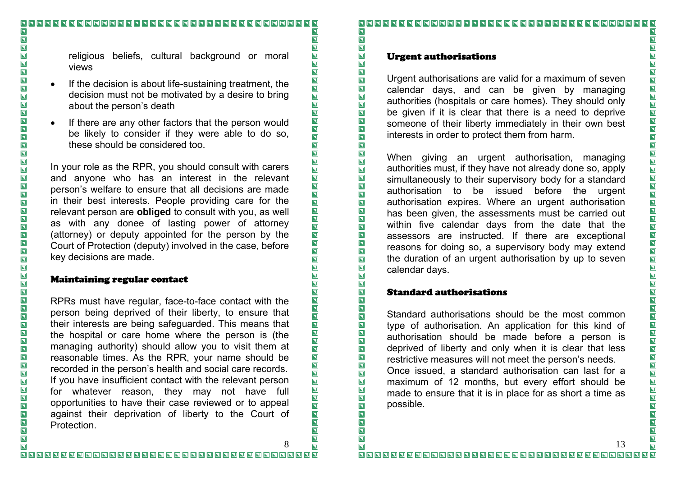religious beliefs, cultural background or moral views

- If the decision is about life-sustaining treatment, the decision must not be motivated by a desire to bring about the person's death
- If there are any other factors that the person would be likely to consider if they were able to do so, these should be considered too.

In your role as the RPR, you should consult with carers and anyone who has an interest in the relevant person's welfare to ensure that all decisions are made in their best interests. People providing care for the relevant person are **obliged** to consult with you, as well as with any donee of lasting power of attorney (attorney) or deputy appointed for the person by the Court of Protection (deputy) involved in the case, before key decisions are made.

#### Maintaining regular contact

RPRs must have regular, face-to-face contact with the person being deprived of their liberty, to ensure that their interests are being safeguarded. This means that the hospital or care home where the person is (the managing authority) should allow you to visit them at reasonable times. As the RPR, your name should be recorded in the person's health and social care records. If you have insufficient contact with the relevant person for whatever reason, they may not have full opportunities to have their case reviewed or to appeal against their deprivation of liberty to the Court of Protection.

 $\overline{\mathbf{N}}$ 

 $\overline{\blacksquare}$ 

 $\overline{\mathbf{N}}$ 

 $\overline{\blacksquare}$ 

 $\overline{\mathbf{z}}$ 

 $\overline{\blacksquare}$ 

 $\overline{\mathbf{z}}$ 

 $\overline{\mathbf{E}}$ 

 $\frac{\overline{\mathbf{N}}}{\mathbf{N}}$ 

 $\overline{\mathbf{N}}$ 

 $\overline{\mathbf{N}}$ 

 $\overline{\blacksquare}$ 

 $\overline{\blacksquare}$ 

 $\overline{\mathbf{z}}$ 

 $\overline{\mathbf{p}}$ 

IN

 $\overline{\blacksquare}$ 

 $\overline{\mathbf{z}}$ 

 $\overline{\blacksquare}$ 

 $\overline{\blacksquare}$ 

 $\overline{\blacksquare}$ 

NNDD

 $\overline{\blacksquare}$ 

 $\overline{\mathbf{z}}$ 

 $\overline{\mathbf{z}}$ 

 $\overline{\mathbf{N}}$ 

 $\overline{\mathbf{N}}$ 

 $\overline{\mathbf{z}}$ 

 $\overline{\mathbf{z}}$ 

 $\overline{\mathbf{N}}$ 

 $\overline{\blacksquare}$ 

 $\overline{\mathbf{N}}$ 

 $\overline{\mathbf{z}}$ 

 $\overline{\mathbf{z}}$ 

 $\overline{\mathbf{N}}$ 

 $\overline{\blacksquare}$ 

 $\overline{\mathbf{N}}$ 

 $\overline{\blacksquare}$ 

 $\blacksquare$ 

 $\blacksquare$ 

 $\overline{\mathbf{z}}$ 

 $\blacksquare$ 

 $\overline{\mathbf{z}}$ 

 $\overline{\mathbf{z}}$ 

 $\overline{\mathbf{z}}$ 

 $\blacksquare$  $\overline{\mathbf{z}}$ 

 $\overline{\mathbf{N}}$ 

 $\overline{\mathbf{z}}$  $\overline{\mathbf{N}}$ 

 $\overline{\blacksquare}$ 

 $\overline{\mathbf{z}}$ 

 $\overline{\mathbf{N}}$ 

 $\overline{\blacksquare}$ 

 $\overline{\mathbf{N}}$  $\overline{\mathbf{z}}$ 

 $\overline{\mathbf{D}}$ 

 $\overline{\mathbf{z}}$ 

 $\overline{\mathbf{z}}$  $\overline{\mathbf{p}}$ 

 $\overline{\blacksquare}$ 

 $\overline{\mathbf{z}}$ 

 $\overline{\blacksquare}$  $\blacksquare$  $\blacksquare$ 

 $\overline{\mathbf{N}}$ 

 $\overline{\mathbf{z}}$ 

 $\blacksquare$ 

 $\overline{\mathbf{z}}$ 

 $\blacksquare$ 

 $\blacksquare$ 

 $\overline{\blacksquare}$ 

 $\overline{\mathbf{z}}$  $\overline{\mathbf{z}}$ 

 $\overline{\mathbf{z}}$ 

 $\overline{\mathbf{z}}$ 

 $\blacksquare$ 

 $\overline{\mathbf{p}}$ 

 $\blacksquare$ 

 $\overline{\mathbf{p}}$ 

 $\blacksquare$  $\overline{\mathbf{z}}$ 

 $\overline{\mathbf{z}}$ 

 $\overline{\mathbf{N}}$ 

 $\overline{\mathbf{N}}$ 

 $\overline{\mathbf{z}}$ 

 $\overline{\mathbf{N}}$ 

8

#### $\blacksquare$  $\overline{\mathbf{N}}$

#### Urgent authorisations

Urgent authorisations are valid for a maximum of seven calendar days, and can be given by managing authorities (hospitals or care homes). They should only be given if it is clear that there is a need to deprive someone of their liberty immediately in their own best interests in order to protect them from harm.

When giving an urgent authorisation, managing authorities must, if they have not already done so, apply simultaneously to their supervisory body for a standard authorisation to be issued before the urgent authorisation expires. Where an urgent authorisation has been given, the assessments must be carried out within five calendar days from the date that the assessors are instructed. If there are exceptional reasons for doing so, a supervisory body may extend the duration of an urgent authorisation by up to seven calendar days.

#### Standard authorisations

Standard authorisations should be the most common type of authorisation. An application for this kind of authorisation should be made before a person is deprived of liberty and only when it is clear that less restrictive measures will not meet the person's needs.

Once issued, a standard authorisation can last for a maximum of 12 months, but every effort should be made to ensure that it is in place for as short a time as possible.

 $\overline{\mathbf{N}}$ 

 $\blacksquare$ 

 $\overline{\mathbf{z}}$ 

 $\overline{\mathbf{N}}$ 

NNNNN

 $\overline{\blacksquare}$ 

 $\overline{\blacksquare}$ 

**D D D D D D D D D D D D D D D D D D** 

 $\blacksquare$ 

 $\overline{\mathbf{N}}$ 

 $\overline{\blacksquare}$ 

**NNNNNNN** 

 $\overline{\mathbf{z}}$ 

NNNNNNN

 $\blacksquare$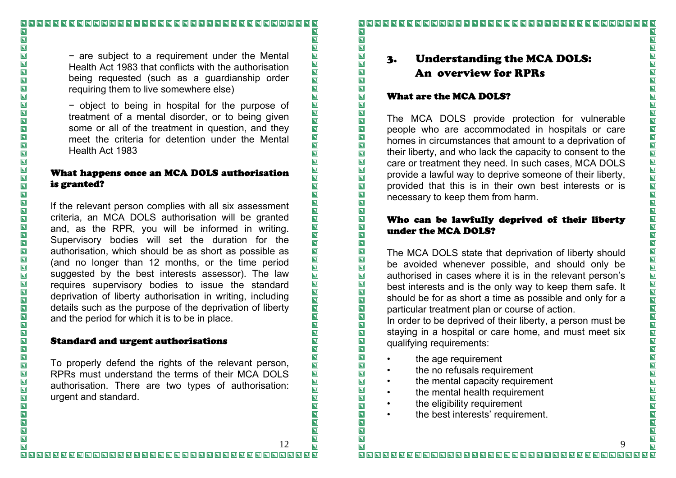<sup>−</sup> are subject to a requirement under the Mental Health Act 1983 that conflicts with the authorisation being requested (such as a guardianship order requiring them to live somewhere else)

<sup>−</sup> object to being in hospital for the purpose of treatment of a mental disorder, or to being given some or all of the treatment in question, and they meet the criteria for detention under the Mental Health Act 1983

### What happens once an MCA DOLS authorisation is granted?

If the relevant person complies with all six assessment criteria, an MCA DOLS authorisation will be granted and, as the RPR, you will be informed in writing. Supervisory bodies will set the duration for the authorisation, which should be as short as possible as (and no longer than 12 months, or the time period suggested by the best interests assessor). The law requires supervisory bodies to issue the standard deprivation of liberty authorisation in writing, including details such as the purpose of the deprivation of liberty and the period for which it is to be in place.

#### Standard and urgent authorisations

To properly defend the rights of the relevant person, RPRs must understand the terms of their MCA DOLS authorisation. There are two types of authorisation: urgent and standard.

#### 

# 3. Understanding the MCA DOLS: An overview for RPRs

#### What are the MCA DOLS?

The MCA DOLS provide protection for vulnerable people who are accommodated in hospitals or care homes in circumstances that amount to a deprivation of their liberty, and who lack the capacity to consent to the care or treatment they need. In such cases, MCA DOLS provide a lawful way to deprive someone of their liberty, provided that this is in their own best interests or is necessary to keep them from harm.

#### Who can be lawfully deprived of their liberty under the MCA DOLS?

The MCA DOLS state that deprivation of liberty should be avoided whenever possible, and should only be authorised in cases where it is in the relevant person's best interests and is the only way to keep them safe. It should be for as short a time as possible and only for a particular treatment plan or course of action.

In order to be deprived of their liberty, a person must be staying in a hospital or care home, and must meet six qualifying requirements:

- the age requirement
- the no refusals requirement
- the mental capacity requirement
- the mental health requirement
- the eligibility requirement
- the best interests' requirement.

12

 $\overline{\mathbf{N}}$ 

 $\overline{\blacksquare}$ 

 $\overline{\mathbf{z}}$ 

 $\overline{\mathbf{z}}$ 

 $\overline{\mathbf{z}}$ 

 $\overline{\blacksquare}$ 

 $\overline{\mathbf{z}}$ 

 $\overline{\mathbf{E}}$ 

 $\overline{\mathbf{N}}$ 

 $\overline{\blacksquare}$ 

 $\overline{\mathbf{N}}$ 

 $\overline{\blacksquare}$ 

 $\overline{\blacksquare}$ 

 $\overline{\blacksquare}$ 

 $\overline{\mathbf{z}}$ 

**NND** 

 $\overline{\blacksquare}$ 

 $\overline{\mathbf{z}}$ 

 $\overline{\blacksquare}$ 

 $\overline{\blacksquare}$ 

 $\overline{\mathbf{N}}$ 

EN

 $\overline{\blacksquare}$ 

 $\blacksquare$ 

 $\overline{\mathbf{z}}$ 

 $\overline{\mathbf{Z}}$ 

 $\overline{\mathbf{z}}$ 

 $\boxed{\textbf{N}}$ 

 $\overline{\mathbf{z}}$ 

 $\overline{\mathbf{z}}$ 

 $\overline{\mathbf{N}}$ 

 $\overline{\mathbf{z}}$ 

 $\overline{\mathbf{z}}$  $\overline{\blacksquare}$ 

 $\overline{\mathbf{z}}$ 

 $\overline{\mathbf{N}}$ 

 $\overline{\blacksquare}$ 

 $\overline{\mathbf{N}}$ 

 $\overline{\mathbf{z}}$ 

 $\overline{\mathbf{z}}$ 

 $\overline{\mathbf{z}}$ 

 $\overline{\mathbf{N}}$ 

 $\blacksquare$ 

 $\overline{\mathbf{u}}$ 

 $\overline{\mathbf{z}}$ 

 $\overline{\mathbf{z}}$ 

 $\overline{\mathbf{z}}$ 

 $\overline{\mathbf{z}}$ 

 $\blacksquare$ 

 $\overline{\mathbf{p}}$ 

 $\overline{\mathbf{z}}$ 

 $\blacksquare$ 

 $\blacksquare$ 

 $\blacksquare$ 

 $\overline{\mathbf{z}}$ 

 $\overline{\mathbf{z}}$ 

 $\overline{\blacksquare}$ 

 $\overline{\mathbf{z}}$  $\overline{\mathbf{p}}$ 

 $\overline{\mathbf{p}}$  $\overline{\mathbf{z}}$ 

 $\overline{\mathbf{z}}$ 

 $\overline{\mathbf{z}}$ 

 $\blacksquare$ 

 $\overline{\mathbf{N}}$ 

 $\overline{\mathbf{p}}$ 

 $\overline{\mathbf{z}}$ 

 $\blacksquare$ 

 $\overline{\mathbf{N}}$  $\overline{\mathbf{z}}$ 

 $\blacksquare$ 

 $\overline{\mathbf{z}}$ 

 $\blacksquare$ 

 $\overline{\mathbf{z}}$ 

 $\blacksquare$ 

 $\overline{\mathbf{z}}$ 

 $\overline{\mathbf{p}}$ 

 $\overline{\mathbf{Z}}$ 

 $\overline{\mathbf{z}}$ 

 $\overline{\mathbf{z}}$ 

 $\blacksquare$  $\overline{\mathbf{p}}$ 

 $\blacksquare$ 

 $\overline{\blacksquare}$ 

 $\overline{\mathbf{N}}$ 

 $\overline{\mathbf{z}}$ 

 $\blacksquare$ 

 $\blacksquare$ 

 $\overline{\mathbf{z}}$ 

 $\overline{\mathbf{z}}$ 

 $\overline{\mathbf{N}}$ 

 $\overline{\mathbf{p}}$